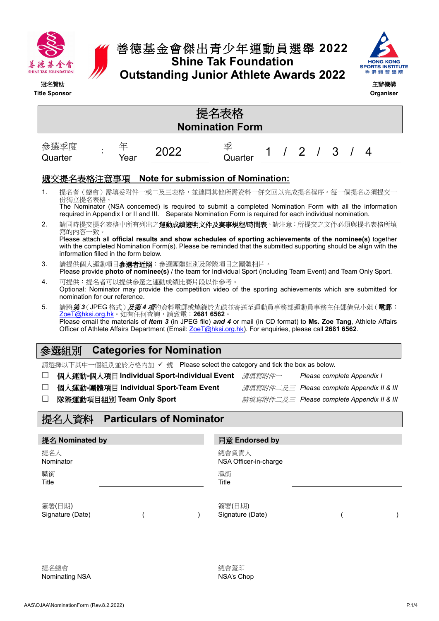

## 善德基金會傑出青少年運動員選舉 **2022 Shine Tak Foundation Outstanding Junior Athlete Awards 2022**



| 冠名贊助             | <b>Title Sponsor</b>                                                                                                                                                                                                                                                                                                                                     |  |                                  |                                           |  |  |                                                                                  |  |  |  |           |  |  | 主辦機構<br>Organiser                                                                                        |
|------------------|----------------------------------------------------------------------------------------------------------------------------------------------------------------------------------------------------------------------------------------------------------------------------------------------------------------------------------------------------------|--|----------------------------------|-------------------------------------------|--|--|----------------------------------------------------------------------------------|--|--|--|-----------|--|--|----------------------------------------------------------------------------------------------------------|
|                  | 提名表格<br><b>Nomination Form</b>                                                                                                                                                                                                                                                                                                                           |  |                                  |                                           |  |  |                                                                                  |  |  |  |           |  |  |                                                                                                          |
|                  | 參選季度<br>Quarter                                                                                                                                                                                                                                                                                                                                          |  | 年<br>Year                        | 2022                                      |  |  | 季<br>Quarter                                                                     |  |  |  | $/2$ $/3$ |  |  | 4                                                                                                        |
|                  | 遞交提名表格注意事項                                                                                                                                                                                                                                                                                                                                               |  |                                  | <b>Note for submission of Nomination:</b> |  |  |                                                                                  |  |  |  |           |  |  |                                                                                                          |
| 1.               | 提名者(總會)需填妥附件一或二及三表格,並連同其他所需資料一併交回以完成提名程序。每一個提名必須提交一<br>份獨立提名表格。<br>required in Appendix I or II and III. Separate Nomination Form is required for each individual nomination.                                                                                                                                                                            |  |                                  |                                           |  |  |                                                                                  |  |  |  |           |  |  | The Nominator (NSA concerned) is required to submit a completed Nomination Form with all the information |
| 2.               | 請同時提交提名表格中所有列出之 <b>運動成績證明文件及賽事規程/時間表</b> 。請注意:所提交之文件必須與提名表格所填<br>寫的內容一致。<br>Please attach all official results and show schedules of sporting achievements of the nominee(s) together<br>with the completed Nomination Form(s). Please be reminded that the submitted supporting should be align with the<br>information filled in the form below.       |  |                                  |                                           |  |  |                                                                                  |  |  |  |           |  |  |                                                                                                          |
| 3.               | 請提供個人運動項目 <b>参選者近照</b> ;參選團體組別及隊際項目之團體相片。<br>Please provide photo of nominee(s) / the team for Individual Sport (including Team Event) and Team Only Sport.                                                                                                                                                                                              |  |                                  |                                           |  |  |                                                                                  |  |  |  |           |  |  |                                                                                                          |
| 4.               | 可提供:提名者可以提供参選之運動成績比賽片段以作參考。<br>Optional: Nominator may provide the competition video of the sporting achievements which are submitted for<br>nomination for our reference.                                                                                                                                                                               |  |                                  |                                           |  |  |                                                                                  |  |  |  |           |  |  |                                                                                                          |
| 5.               | 請將 <i>第3</i> (JPEG 格式)及第4 <i>項</i> 的資料電郵或燒錄於光碟並寄送至運動員事務部運動員事務主任鄧倩兒小姐(電郵:<br>ZoeT@hksi.org.hk。如有任何查詢,請致電:2681 6562。<br>Please email the materials of <i>Item 3</i> (in JPEG file) and 4 or mail (in CD format) to Ms. Zoe Tang, Athlete Affairs<br>Officer of Athlete Affairs Department (Email: ZoeT@hksi.org.hk). For enquiries, please call 2681 6562. |  |                                  |                                           |  |  |                                                                                  |  |  |  |           |  |  |                                                                                                          |
|                  | 參選組別                                                                                                                                                                                                                                                                                                                                                     |  | <b>Categories for Nomination</b> |                                           |  |  |                                                                                  |  |  |  |           |  |  |                                                                                                          |
|                  | 請選擇以下其中一個組別並於方格內加 ✔ 號 Please select the category and tick the box as below.                                                                                                                                                                                                                                                                              |  |                                  |                                           |  |  |                                                                                  |  |  |  |           |  |  |                                                                                                          |
| $\Box$           |                                                                                                                                                                                                                                                                                                                                                          |  |                                  |                                           |  |  | 個人運動-個人項目 Individual Sport-Individual Event 請填寫附件一<br>Please complete Appendix I |  |  |  |           |  |  |                                                                                                          |
| $\Box$<br>$\Box$ | 個人運動-團體項目 Individual Sport-Team Event<br>隊際運動項目組別 Team Only Sport                                                                                                                                                                                                                                                                                        |  |                                  |                                           |  |  |                                                                                  |  |  |  |           |  |  | 請填寫附件二及三 Please complete Appendix II & III<br>請填寫附件二及三 Please complete Appendix II & III                 |
|                  | 提名人資料                                                                                                                                                                                                                                                                                                                                                    |  | <b>Particulars of Nominator</b>  |                                           |  |  |                                                                                  |  |  |  |           |  |  |                                                                                                          |
|                  | 提名 Nominated by                                                                                                                                                                                                                                                                                                                                          |  |                                  |                                           |  |  | 同意 Endorsed by                                                                   |  |  |  |           |  |  |                                                                                                          |
| 職銜<br>Title      | 提名人<br>Nominator                                                                                                                                                                                                                                                                                                                                         |  |                                  |                                           |  |  | 總會負責人<br>NSA Officer-in-charge<br>職銜<br>Title                                    |  |  |  |           |  |  |                                                                                                          |
|                  | 簽署(日期)<br>Signature (Date)                                                                                                                                                                                                                                                                                                                               |  |                                  |                                           |  |  | 簽署(日期)<br>Signature (Date)                                                       |  |  |  |           |  |  |                                                                                                          |
|                  |                                                                                                                                                                                                                                                                                                                                                          |  |                                  |                                           |  |  |                                                                                  |  |  |  |           |  |  |                                                                                                          |

總會蓋印 NSA's Chop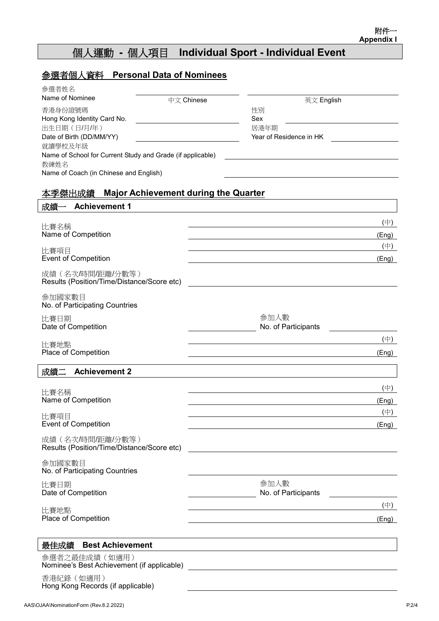## 個人運動 **-** 個人項目 **Individual Sport - Individual Event**

| 參選者個人資料<br><b>Personal Data of Nominees</b>                                         |                                                                                                                        |
|-------------------------------------------------------------------------------------|------------------------------------------------------------------------------------------------------------------------|
| 參選者姓名                                                                               |                                                                                                                        |
| Name of Nominee                                                                     | 中文 Chinese<br>英文 English                                                                                               |
| 香港身份證號碼                                                                             | 性別                                                                                                                     |
| Hong Kong Identity Card No.                                                         | Sex                                                                                                                    |
| 出生日期(日/月/年)                                                                         | 居港年期<br>Year of Residence in HK                                                                                        |
| Date of Birth (DD/MM/YY)<br>就讀學校及年級                                                 |                                                                                                                        |
| Name of School for Current Study and Grade (if applicable)                          |                                                                                                                        |
| 教練姓名                                                                                |                                                                                                                        |
| Name of Coach (in Chinese and English)                                              |                                                                                                                        |
|                                                                                     |                                                                                                                        |
| <b>Major Achievement during the Quarter</b><br>本季傑出成績<br><b>Achievement 1</b><br>成績 |                                                                                                                        |
|                                                                                     |                                                                                                                        |
| 比賽名稱                                                                                | $(\dagger)$                                                                                                            |
| Name of Competition                                                                 | (Eng)                                                                                                                  |
| 比賽項目                                                                                | $(\dagger)$                                                                                                            |
| <b>Event of Competition</b>                                                         | (Eng)                                                                                                                  |
| 成績(名次/時間/距離/分數等)<br>Results (Position/Time/Distance/Score etc)                      |                                                                                                                        |
| 參加國家數目<br>No. of Participating Countries                                            |                                                                                                                        |
| 比賽日期                                                                                | 參加人數                                                                                                                   |
| Date of Competition                                                                 | No. of Participants                                                                                                    |
|                                                                                     | $(\dagger)$                                                                                                            |
| 比賽地點<br>Place of Competition                                                        |                                                                                                                        |
|                                                                                     | (Eng)                                                                                                                  |
| 成績二<br><b>Achievement 2</b>                                                         |                                                                                                                        |
|                                                                                     | (中)                                                                                                                    |
| 比賽名稱<br>Name of Competition                                                         |                                                                                                                        |
|                                                                                     | (Eng)                                                                                                                  |
| 比賽項目                                                                                | $(\oplus)$                                                                                                             |
| <b>Event of Competition</b>                                                         | (Eng)                                                                                                                  |
| 成績(名次時間/距離/分數等)<br>Results (Position/Time/Distance/Score etc)                       | <u> 1989 - Johann Stoff, deutscher Stoffen und der Stoffen und der Stoffen und der Stoffen und der Stoffen und der</u> |
| 參加國家數目<br>No. of Participating Countries                                            |                                                                                                                        |
|                                                                                     |                                                                                                                        |
| 比賽日期<br>Date of Competition                                                         | 參加人數<br>No. of Participants                                                                                            |
| 比賽地點                                                                                | $(\oplus)$                                                                                                             |
| Place of Competition                                                                | (Eng)                                                                                                                  |
| 最佳成績 Best Achievement                                                               |                                                                                                                        |
| 參選者之最佳成績 (如適用)                                                                      |                                                                                                                        |
| 香港紀錄 (如適用)<br>Hong Kong Records (if applicable)                                     |                                                                                                                        |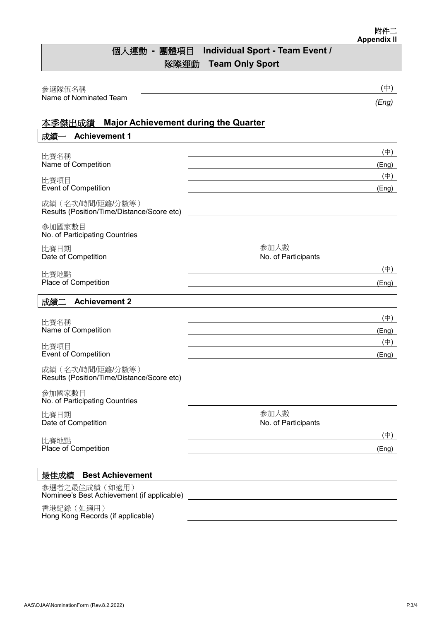## 個人運動 **-** 團體項目 **Individual Sport - Team Event /** 隊際運動 **Team Only Sport**

| 參選隊伍名稱                                                                                               | (中)                                                                  |
|------------------------------------------------------------------------------------------------------|----------------------------------------------------------------------|
| Name of Nominated Team                                                                               | (Eng)                                                                |
|                                                                                                      |                                                                      |
| <b>Major Achievement during the Quarter</b><br>本季傑出成績<br>成績<br><b>Achievement 1</b><br>$\rightarrow$ |                                                                      |
|                                                                                                      |                                                                      |
| 比賽名稱                                                                                                 | $(\dagger)$                                                          |
| Name of Competition                                                                                  | (Eng)<br>$(\dagger)$                                                 |
| 比賽項目<br><b>Event of Competition</b>                                                                  | (Eng)                                                                |
| 成績(名次時間/距離/分數等)<br>Results (Position/Time/Distance/Score etc)                                        |                                                                      |
| 參加國家數目<br>No. of Participating Countries                                                             |                                                                      |
| 比賽日期<br>Date of Competition                                                                          | 參加人數<br>No. of Participants                                          |
| 比賽地點                                                                                                 | $(\dagger)$                                                          |
| Place of Competition                                                                                 | (Eng)<br><u> 1980 - Johann Stoff, Amerikaansk politiker († 1908)</u> |
| 成績二<br><b>Achievement 2</b>                                                                          |                                                                      |
|                                                                                                      | $(\oplus)$                                                           |
| 比賽名稱<br>Name of Competition                                                                          | (Eng)                                                                |
| 比賽項目                                                                                                 | $(\dagger)$                                                          |
| <b>Event of Competition</b>                                                                          | (Eng)                                                                |
| 成績(名次時間/距離/分數等)<br>Results (Position/Time/Distance/Score etc)                                        |                                                                      |
| 參加國家數目<br>No. of Participating Countries                                                             |                                                                      |
| 比賽日期<br>Date of Competition                                                                          | 参加人數<br>No. of Participants                                          |
| 比賽地點                                                                                                 | (中)                                                                  |
| Place of Competition                                                                                 | (Eng)                                                                |
|                                                                                                      |                                                                      |
| <b>Best Achievement</b><br>最佳成績                                                                      |                                                                      |
| 參選者之最佳成績 (如適用)<br>Nominee's Best Achievement (if applicable)                                         | <u> 1989 - John Stein, Amerikaansk politiker (</u>                   |
| 香港紀錄 (如適用)<br>Hong Kong Records (if applicable)                                                      |                                                                      |